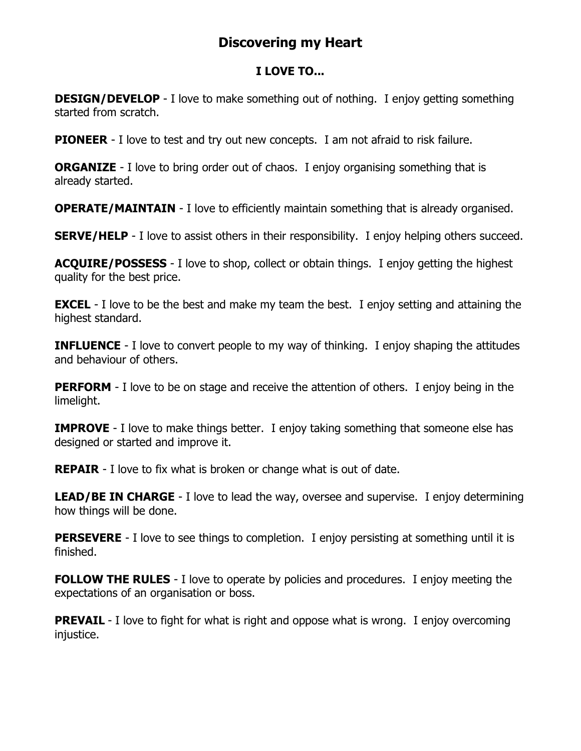## **Discovering my Heart**

## **I LOVE TO...**

**DESIGN/DEVELOP** - I love to make something out of nothing. I enjoy getting something started from scratch.

**PIONEER** - I love to test and try out new concepts. I am not afraid to risk failure.

**ORGANIZE** - I love to bring order out of chaos. I enjoy organising something that is already started.

**OPERATE/MAINTAIN** - I love to efficiently maintain something that is already organised.

**SERVE/HELP** - I love to assist others in their responsibility. I enjoy helping others succeed.

**ACQUIRE/POSSESS** - I love to shop, collect or obtain things. I enjoy getting the highest quality for the best price.

**EXCEL** - I love to be the best and make my team the best. I enjoy setting and attaining the highest standard.

**INFLUENCE** - I love to convert people to my way of thinking. I enjoy shaping the attitudes and behaviour of others.

**PERFORM** - I love to be on stage and receive the attention of others. I enjoy being in the limelight.

**IMPROVE** - I love to make things better. I enjoy taking something that someone else has designed or started and improve it.

**REPAIR** - I love to fix what is broken or change what is out of date.

**LEAD/BE IN CHARGE** - I love to lead the way, oversee and supervise. I enjoy determining how things will be done.

**PERSEVERE** - I love to see things to completion. I enjoy persisting at something until it is finished.

**FOLLOW THE RULES** - I love to operate by policies and procedures. I enjoy meeting the expectations of an organisation or boss.

**PREVAIL** - I love to fight for what is right and oppose what is wrong. I enjoy overcoming injustice.